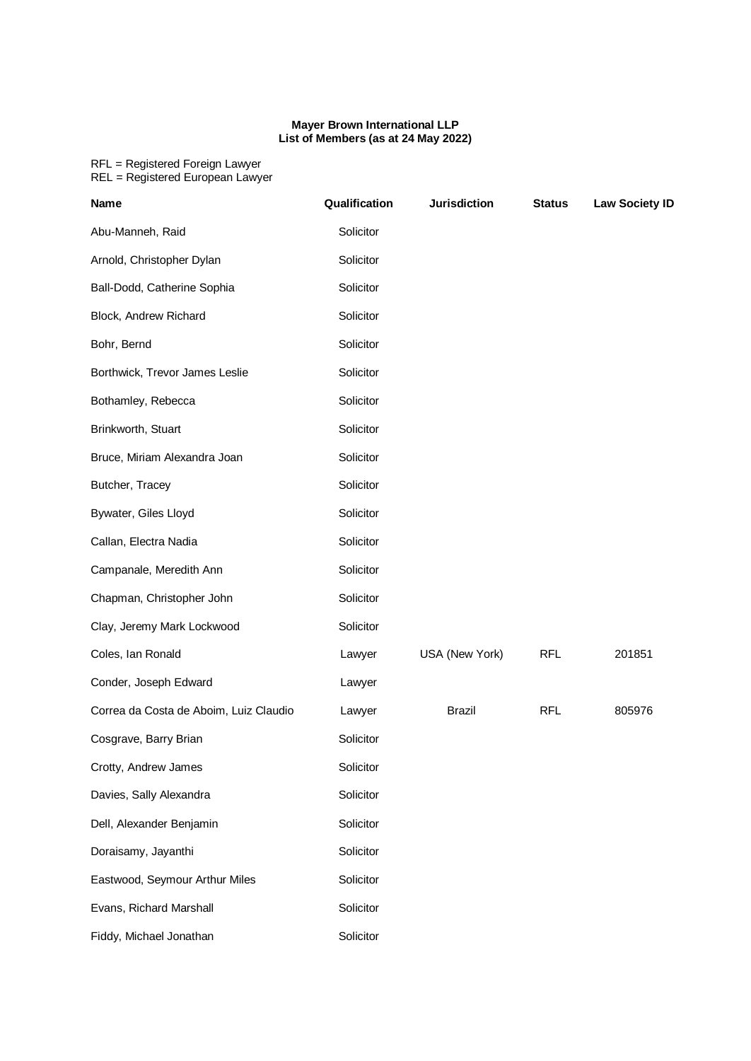## **Mayer Brown International LLP List of Members (as at 24 May 2022)**

## RFL = Registered Foreign Lawyer REL = Registered European Lawyer

| <b>Name</b>                            | Qualification | <b>Jurisdiction</b> | <b>Status</b> | <b>Law Society ID</b> |
|----------------------------------------|---------------|---------------------|---------------|-----------------------|
| Abu-Manneh, Raid                       | Solicitor     |                     |               |                       |
| Arnold, Christopher Dylan              | Solicitor     |                     |               |                       |
| Ball-Dodd, Catherine Sophia            | Solicitor     |                     |               |                       |
| Block, Andrew Richard                  | Solicitor     |                     |               |                       |
| Bohr, Bernd                            | Solicitor     |                     |               |                       |
| Borthwick, Trevor James Leslie         | Solicitor     |                     |               |                       |
| Bothamley, Rebecca                     | Solicitor     |                     |               |                       |
| Brinkworth, Stuart                     | Solicitor     |                     |               |                       |
| Bruce, Miriam Alexandra Joan           | Solicitor     |                     |               |                       |
| Butcher, Tracey                        | Solicitor     |                     |               |                       |
| Bywater, Giles Lloyd                   | Solicitor     |                     |               |                       |
| Callan, Electra Nadia                  | Solicitor     |                     |               |                       |
| Campanale, Meredith Ann                | Solicitor     |                     |               |                       |
| Chapman, Christopher John              | Solicitor     |                     |               |                       |
| Clay, Jeremy Mark Lockwood             | Solicitor     |                     |               |                       |
| Coles, Ian Ronald                      | Lawyer        | USA (New York)      | <b>RFL</b>    | 201851                |
| Conder, Joseph Edward                  | Lawyer        |                     |               |                       |
| Correa da Costa de Aboim, Luiz Claudio | Lawyer        | <b>Brazil</b>       | <b>RFL</b>    | 805976                |
| Cosgrave, Barry Brian                  | Solicitor     |                     |               |                       |
| Crotty, Andrew James                   | Solicitor     |                     |               |                       |
| Davies, Sally Alexandra                | Solicitor     |                     |               |                       |
| Dell, Alexander Benjamin               | Solicitor     |                     |               |                       |
| Doraisamy, Jayanthi                    | Solicitor     |                     |               |                       |
| Eastwood, Seymour Arthur Miles         | Solicitor     |                     |               |                       |
| Evans, Richard Marshall                | Solicitor     |                     |               |                       |
| Fiddy, Michael Jonathan                | Solicitor     |                     |               |                       |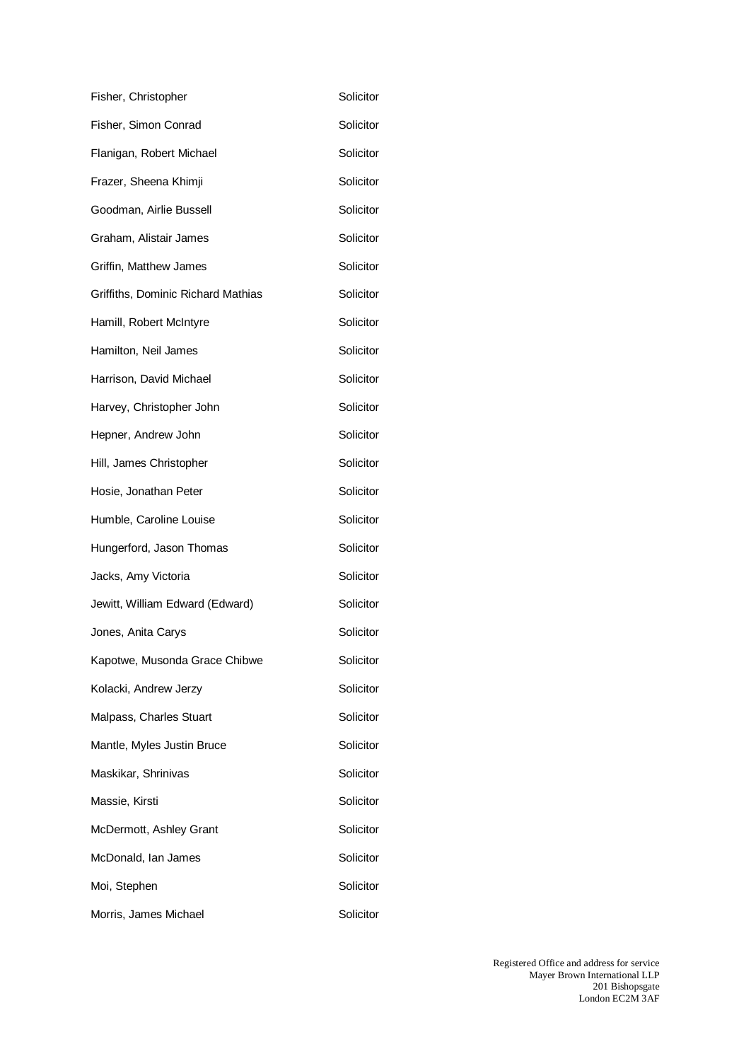| Fisher, Christopher                | Solicitor |
|------------------------------------|-----------|
| Fisher, Simon Conrad               | Solicitor |
| Flanigan, Robert Michael           | Solicitor |
| Frazer, Sheena Khimji              | Solicitor |
| Goodman, Airlie Bussell            | Solicitor |
| Graham, Alistair James             | Solicitor |
| Griffin, Matthew James             | Solicitor |
| Griffiths, Dominic Richard Mathias | Solicitor |
| Hamill, Robert McIntyre            | Solicitor |
| Hamilton, Neil James               | Solicitor |
| Harrison, David Michael            | Solicitor |
| Harvey, Christopher John           | Solicitor |
| Hepner, Andrew John                | Solicitor |
| Hill, James Christopher            | Solicitor |
| Hosie, Jonathan Peter              | Solicitor |
| Humble, Caroline Louise            | Solicitor |
| Hungerford, Jason Thomas           | Solicitor |
| Jacks, Amy Victoria                | Solicitor |
| Jewitt, William Edward (Edward)    | Solicitor |
| Jones, Anita Carys                 | Solicitor |
| Kapotwe, Musonda Grace Chibwe      | Solicitor |
| Kolacki, Andrew Jerzy              | Solicitor |
| Malpass, Charles Stuart            | Solicitor |
| Mantle, Myles Justin Bruce         | Solicitor |
| Maskikar, Shrinivas                | Solicitor |
| Massie, Kirsti                     | Solicitor |
| McDermott, Ashley Grant            | Solicitor |
| McDonald, Ian James                | Solicitor |
| Moi, Stephen                       | Solicitor |
| Morris, James Michael              | Solicitor |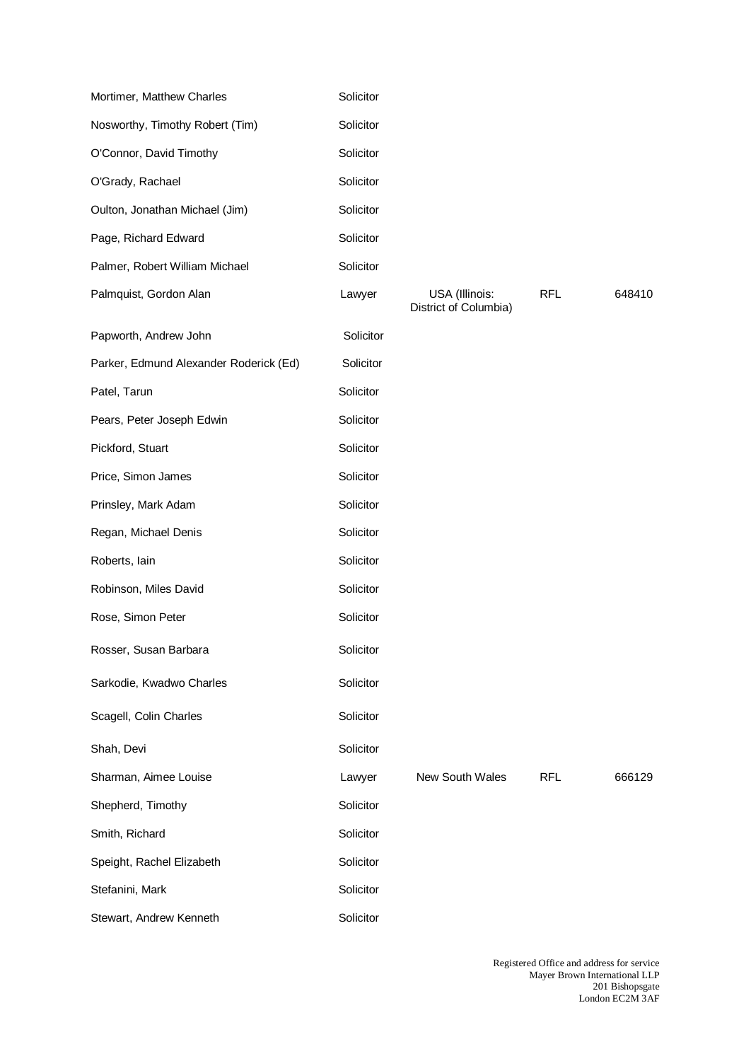| Mortimer, Matthew Charles              | Solicitor |                                         |            |        |
|----------------------------------------|-----------|-----------------------------------------|------------|--------|
| Nosworthy, Timothy Robert (Tim)        | Solicitor |                                         |            |        |
| O'Connor, David Timothy                | Solicitor |                                         |            |        |
| O'Grady, Rachael                       | Solicitor |                                         |            |        |
| Oulton, Jonathan Michael (Jim)         | Solicitor |                                         |            |        |
| Page, Richard Edward                   | Solicitor |                                         |            |        |
| Palmer, Robert William Michael         | Solicitor |                                         |            |        |
| Palmquist, Gordon Alan                 | Lawyer    | USA (Illinois:<br>District of Columbia) | <b>RFL</b> | 648410 |
| Papworth, Andrew John                  | Solicitor |                                         |            |        |
| Parker, Edmund Alexander Roderick (Ed) | Solicitor |                                         |            |        |
| Patel, Tarun                           | Solicitor |                                         |            |        |
| Pears, Peter Joseph Edwin              | Solicitor |                                         |            |        |
| Pickford, Stuart                       | Solicitor |                                         |            |        |
| Price, Simon James                     | Solicitor |                                         |            |        |
| Prinsley, Mark Adam                    | Solicitor |                                         |            |        |
| Regan, Michael Denis                   | Solicitor |                                         |            |        |
| Roberts, lain                          | Solicitor |                                         |            |        |
| Robinson, Miles David                  | Solicitor |                                         |            |        |
| Rose, Simon Peter                      | Solicitor |                                         |            |        |
| Rosser, Susan Barbara                  | Solicitor |                                         |            |        |
| Sarkodie, Kwadwo Charles               | Solicitor |                                         |            |        |
| Scagell, Colin Charles                 | Solicitor |                                         |            |        |
| Shah, Devi                             | Solicitor |                                         |            |        |
| Sharman, Aimee Louise                  | Lawyer    | New South Wales                         | <b>RFL</b> | 666129 |
| Shepherd, Timothy                      | Solicitor |                                         |            |        |
| Smith, Richard                         | Solicitor |                                         |            |        |
| Speight, Rachel Elizabeth              | Solicitor |                                         |            |        |
| Stefanini, Mark                        | Solicitor |                                         |            |        |
| Stewart, Andrew Kenneth                | Solicitor |                                         |            |        |